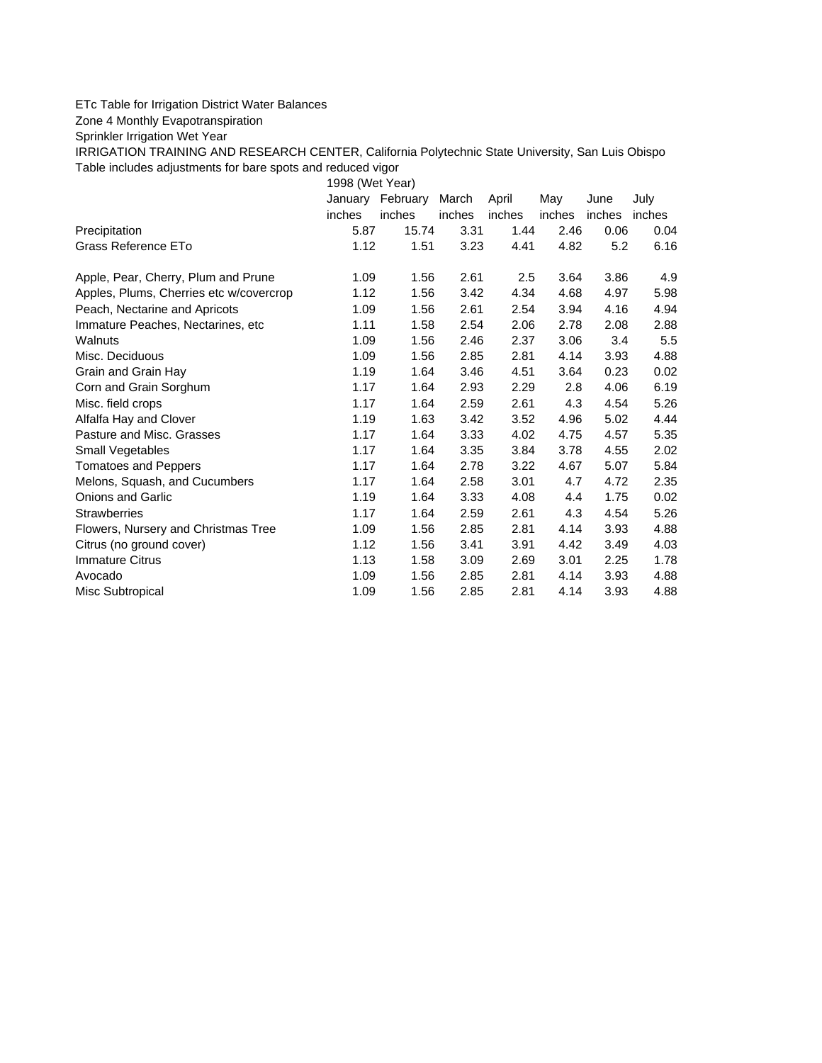## ETc Table for Irrigation District Water Balances

Zone 4 Monthly Evapotranspiration

Sprinkler Irrigation Wet Year

IRRIGATION TRAINING AND RESEARCH CENTER, California Polytechnic State University, San Luis Obispo Table includes adjustments for bare spots and reduced vigor

1998 (Wet Year)

|                                         | January | February | March  | April  | May    | June   | July   |
|-----------------------------------------|---------|----------|--------|--------|--------|--------|--------|
|                                         | inches  | inches   | inches | inches | inches | inches | inches |
| Precipitation                           | 5.87    | 15.74    | 3.31   | 1.44   | 2.46   | 0.06   | 0.04   |
| Grass Reference ETo                     | 1.12    | 1.51     | 3.23   | 4.41   | 4.82   | 5.2    | 6.16   |
| Apple, Pear, Cherry, Plum and Prune     | 1.09    | 1.56     | 2.61   | 2.5    | 3.64   | 3.86   | 4.9    |
| Apples, Plums, Cherries etc w/covercrop | 1.12    | 1.56     | 3.42   | 4.34   | 4.68   | 4.97   | 5.98   |
| Peach, Nectarine and Apricots           | 1.09    | 1.56     | 2.61   | 2.54   | 3.94   | 4.16   | 4.94   |
| Immature Peaches, Nectarines, etc.      | 1.11    | 1.58     | 2.54   | 2.06   | 2.78   | 2.08   | 2.88   |
| Walnuts                                 | 1.09    | 1.56     | 2.46   | 2.37   | 3.06   | 3.4    | 5.5    |
| Misc. Deciduous                         | 1.09    | 1.56     | 2.85   | 2.81   | 4.14   | 3.93   | 4.88   |
| Grain and Grain Hay                     | 1.19    | 1.64     | 3.46   | 4.51   | 3.64   | 0.23   | 0.02   |
| Corn and Grain Sorghum                  | 1.17    | 1.64     | 2.93   | 2.29   | 2.8    | 4.06   | 6.19   |
| Misc. field crops                       | 1.17    | 1.64     | 2.59   | 2.61   | 4.3    | 4.54   | 5.26   |
| Alfalfa Hay and Clover                  | 1.19    | 1.63     | 3.42   | 3.52   | 4.96   | 5.02   | 4.44   |
| Pasture and Misc. Grasses               | 1.17    | 1.64     | 3.33   | 4.02   | 4.75   | 4.57   | 5.35   |
| Small Vegetables                        | 1.17    | 1.64     | 3.35   | 3.84   | 3.78   | 4.55   | 2.02   |
| <b>Tomatoes and Peppers</b>             | 1.17    | 1.64     | 2.78   | 3.22   | 4.67   | 5.07   | 5.84   |
| Melons, Squash, and Cucumbers           | 1.17    | 1.64     | 2.58   | 3.01   | 4.7    | 4.72   | 2.35   |
| <b>Onions and Garlic</b>                | 1.19    | 1.64     | 3.33   | 4.08   | 4.4    | 1.75   | 0.02   |
| <b>Strawberries</b>                     | 1.17    | 1.64     | 2.59   | 2.61   | 4.3    | 4.54   | 5.26   |
| Flowers, Nursery and Christmas Tree     | 1.09    | 1.56     | 2.85   | 2.81   | 4.14   | 3.93   | 4.88   |
| Citrus (no ground cover)                | 1.12    | 1.56     | 3.41   | 3.91   | 4.42   | 3.49   | 4.03   |
| <b>Immature Citrus</b>                  | 1.13    | 1.58     | 3.09   | 2.69   | 3.01   | 2.25   | 1.78   |
| Avocado                                 | 1.09    | 1.56     | 2.85   | 2.81   | 4.14   | 3.93   | 4.88   |
| Misc Subtropical                        | 1.09    | 1.56     | 2.85   | 2.81   | 4.14   | 3.93   | 4.88   |